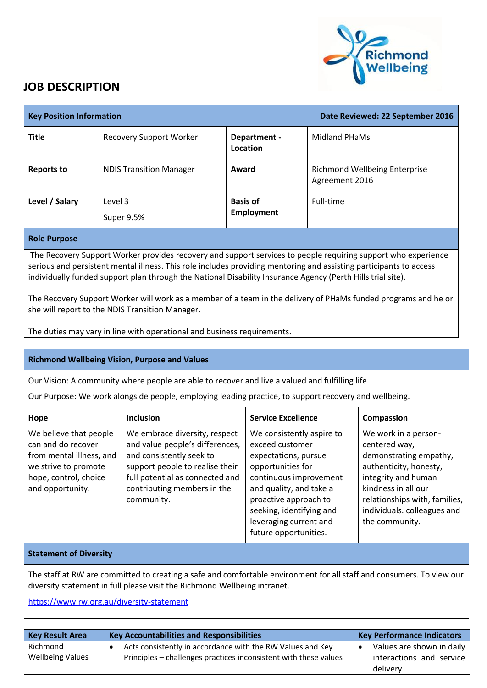

## **JOB DESCRIPTION**

| <b>Key Position Information</b>                                                                                                                                                                                                                                                                                                                    |                                |                                      | Date Reviewed: 22 September 2016                       |  |
|----------------------------------------------------------------------------------------------------------------------------------------------------------------------------------------------------------------------------------------------------------------------------------------------------------------------------------------------------|--------------------------------|--------------------------------------|--------------------------------------------------------|--|
| <b>Title</b>                                                                                                                                                                                                                                                                                                                                       | <b>Recovery Support Worker</b> | Department -<br>Location             | Midland PHaMs                                          |  |
| <b>Reports to</b>                                                                                                                                                                                                                                                                                                                                  | <b>NDIS Transition Manager</b> | Award                                | <b>Richmond Wellbeing Enterprise</b><br>Agreement 2016 |  |
| Level / Salary                                                                                                                                                                                                                                                                                                                                     | Level 3<br>Super 9.5%          | <b>Basis of</b><br><b>Employment</b> | Full-time                                              |  |
| <b>Role Purpose</b>                                                                                                                                                                                                                                                                                                                                |                                |                                      |                                                        |  |
| The Recovery Support Worker provides recovery and support services to people requiring support who experience<br>serious and persistent mental illness. This role includes providing mentoring and assisting participants to access<br>individually funded support plan through the National Disability Insurance Agency (Perth Hills trial site). |                                |                                      |                                                        |  |

The Recovery Support Worker will work as a member of a team in the delivery of PHaMs funded programs and he or she will report to the NDIS Transition Manager.

The duties may vary in line with operational and business requirements.

## **Richmond Wellbeing Vision, Purpose and Values**

Our Vision: A community where people are able to recover and live a valued and fulfilling life.

Our Purpose: We work alongside people, employing leading practice, to support recovery and wellbeing.

| Hope                                                                                                                                          | <b>Inclusion</b>                                                                                                                                                                                                | <b>Service Excellence</b>                                                                                                                                                                                                                              | Compassion                                                                                                                                                                                                                |
|-----------------------------------------------------------------------------------------------------------------------------------------------|-----------------------------------------------------------------------------------------------------------------------------------------------------------------------------------------------------------------|--------------------------------------------------------------------------------------------------------------------------------------------------------------------------------------------------------------------------------------------------------|---------------------------------------------------------------------------------------------------------------------------------------------------------------------------------------------------------------------------|
| We believe that people<br>can and do recover<br>from mental illness, and<br>we strive to promote<br>hope, control, choice<br>and opportunity. | We embrace diversity, respect<br>and value people's differences,<br>and consistently seek to<br>support people to realise their<br>full potential as connected and<br>contributing members in the<br>community. | We consistently aspire to<br>exceed customer<br>expectations, pursue<br>opportunities for<br>continuous improvement<br>and quality, and take a<br>proactive approach to<br>seeking, identifying and<br>leveraging current and<br>future opportunities. | We work in a person-<br>centered way,<br>demonstrating empathy,<br>authenticity, honesty,<br>integrity and human<br>kindness in all our<br>relationships with, families,<br>individuals. colleagues and<br>the community. |

## **Statement of Diversity**

The staff at RW are committed to creating a safe and comfortable environment for all staff and consumers. To view our diversity statement in full please visit the Richmond Wellbeing intranet.

<https://www.rw.org.au/diversity-statement>

| <b>Key Result Area</b>              | <b>Key Accountabilities and Responsibilities</b>                                                                               | <b>Key Performance Indicators</b>                                 |
|-------------------------------------|--------------------------------------------------------------------------------------------------------------------------------|-------------------------------------------------------------------|
| Richmond<br><b>Wellbeing Values</b> | Acts consistently in accordance with the RW Values and Key<br>Principles – challenges practices inconsistent with these values | Values are shown in daily<br>interactions and service<br>delivery |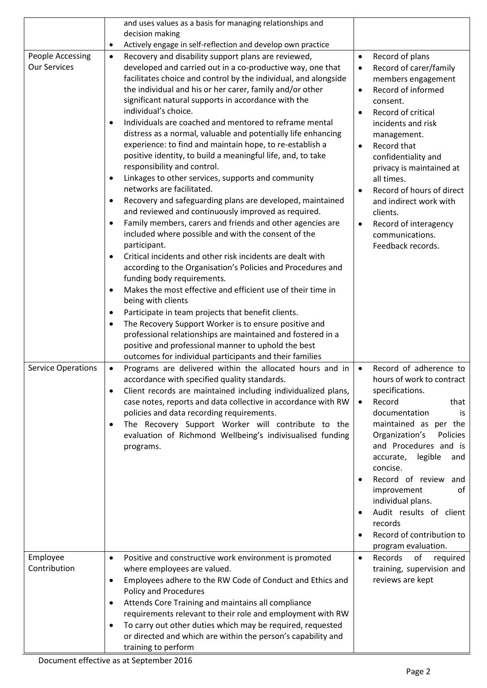|                           | and uses values as a basis for managing relationships and                  |                                                 |
|---------------------------|----------------------------------------------------------------------------|-------------------------------------------------|
|                           | decision making                                                            |                                                 |
|                           | Actively engage in self-reflection and develop own practice<br>$\bullet$   |                                                 |
| People Accessing          | Recovery and disability support plans are reviewed,<br>$\bullet$           | Record of plans<br>$\bullet$                    |
| <b>Our Services</b>       | developed and carried out in a co-productive way, one that                 | Record of carer/family<br>$\bullet$             |
|                           | facilitates choice and control by the individual, and alongside            | members engagement                              |
|                           | the individual and his or her carer, family and/or other                   | Record of informed<br>$\bullet$                 |
|                           | significant natural supports in accordance with the                        | consent.                                        |
|                           | individual's choice.                                                       | Record of critical<br>$\bullet$                 |
|                           | Individuals are coached and mentored to reframe mental<br>$\bullet$        | incidents and risk                              |
|                           | distress as a normal, valuable and potentially life enhancing              | management.                                     |
|                           | experience: to find and maintain hope, to re-establish a                   | Record that<br>$\bullet$                        |
|                           | positive identity, to build a meaningful life, and, to take                | confidentiality and                             |
|                           | responsibility and control.                                                | privacy is maintained at                        |
|                           | Linkages to other services, supports and community                         | all times.                                      |
|                           | networks are facilitated.                                                  | Record of hours of direct<br>$\bullet$          |
|                           | Recovery and safeguarding plans are developed, maintained                  | and indirect work with                          |
|                           | and reviewed and continuously improved as required.                        | clients.                                        |
|                           | Family members, carers and friends and other agencies are                  | Record of interagency<br>$\bullet$              |
|                           | included where possible and with the consent of the                        | communications.                                 |
|                           | participant.<br>Critical incidents and other risk incidents are dealt with | Feedback records.                               |
|                           | according to the Organisation's Policies and Procedures and                |                                                 |
|                           | funding body requirements.                                                 |                                                 |
|                           | Makes the most effective and efficient use of their time in<br>$\bullet$   |                                                 |
|                           | being with clients                                                         |                                                 |
|                           | Participate in team projects that benefit clients.<br>٠                    |                                                 |
|                           | The Recovery Support Worker is to ensure positive and<br>$\bullet$         |                                                 |
|                           | professional relationships are maintained and fostered in a                |                                                 |
|                           | positive and professional manner to uphold the best                        |                                                 |
|                           | outcomes for individual participants and their families                    |                                                 |
| <b>Service Operations</b> | Programs are delivered within the allocated hours and in<br>$\bullet$      | Record of adherence to<br>$\bullet$             |
|                           | accordance with specified quality standards.                               | hours of work to contract                       |
|                           | Client records are maintained including individualized plans,              | specifications.                                 |
|                           | case notes, reports and data collective in accordance with RW              | Record<br>$\bullet$<br>that                     |
|                           | policies and data recording requirements.                                  | documentation<br>is                             |
|                           | The Recovery Support Worker will contribute to the<br>$\bullet$            | maintained as per the                           |
|                           | evaluation of Richmond Wellbeing's indivisualised funding                  | Organization's<br>Policies                      |
|                           | programs.                                                                  | and Procedures and is                           |
|                           |                                                                            | accurate, legible<br>and                        |
|                           |                                                                            | concise.                                        |
|                           |                                                                            | Record of review<br>and<br>$\bullet$            |
|                           |                                                                            | improvement<br>of                               |
|                           |                                                                            | individual plans.                               |
|                           |                                                                            | Audit results of client<br>$\bullet$<br>records |
|                           |                                                                            | Record of contribution to<br>$\bullet$          |
|                           |                                                                            | program evaluation.                             |
| Employee                  | Positive and constructive work environment is promoted<br>$\bullet$        | of<br>Records<br>required<br>$\bullet$          |
| Contribution              | where employees are valued.                                                | training, supervision and                       |
|                           | Employees adhere to the RW Code of Conduct and Ethics and<br>$\bullet$     | reviews are kept                                |
|                           | <b>Policy and Procedures</b>                                               |                                                 |
|                           | Attends Core Training and maintains all compliance<br>$\bullet$            |                                                 |
|                           | requirements relevant to their role and employment with RW                 |                                                 |
|                           | To carry out other duties which may be required, requested<br>٠            |                                                 |
|                           | or directed and which are within the person's capability and               |                                                 |
|                           | training to perform                                                        |                                                 |